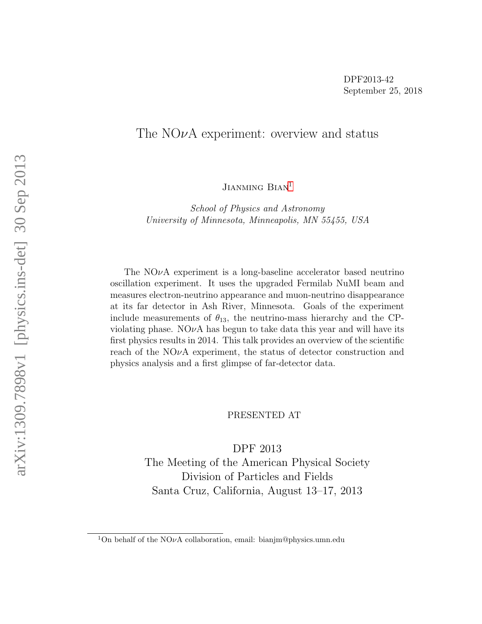#### The NO $\nu$ A experiment: overview and status

JIANMING BIAN<sup>[1](#page-0-0)</sup>

School of Physics and Astronomy University of Minnesota, Minneapolis, MN 55455, USA

The  $NO\nu A$  experiment is a long-baseline accelerator based neutrino oscillation experiment. It uses the upgraded Fermilab NuMI beam and measures electron-neutrino appearance and muon-neutrino disappearance at its far detector in Ash River, Minnesota. Goals of the experiment include measurements of  $\theta_{13}$ , the neutrino-mass hierarchy and the CPviolating phase. NO $\nu$ A has begun to take data this year and will have its first physics results in 2014. This talk provides an overview of the scientific reach of the  $NOvA$  experiment, the status of detector construction and physics analysis and a first glimpse of far-detector data.

PRESENTED AT

DPF 2013 The Meeting of the American Physical Society Division of Particles and Fields Santa Cruz, California, August 13–17, 2013

<span id="page-0-0"></span><sup>&</sup>lt;sup>1</sup>On behalf of the NO $\nu$ A collaboration, email: bianjm@physics.umn.edu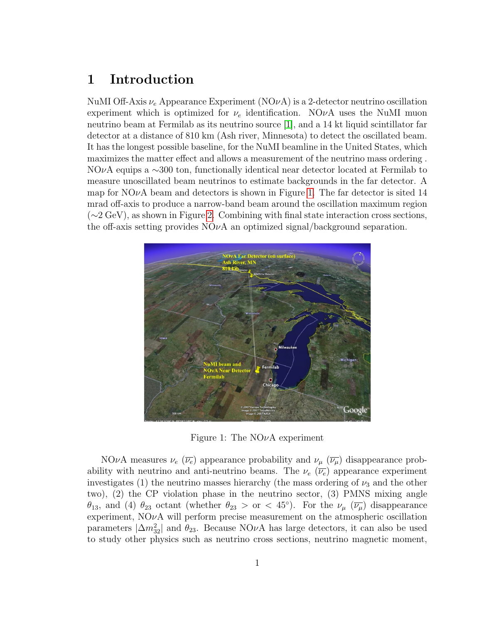# 1 Introduction

NuMI Off-Axis  $\nu_e$  Appearance Experiment (NO $\nu$ A) is a 2-detector neutrino oscillation experiment which is optimized for  $\nu_e$  identification. NO $\nu A$  uses the NuMI muon neutrino beam at Fermilab as its neutrino source [\[1\]](#page-8-0), and a 14 kt liquid scintillator far detector at a distance of 810 km (Ash river, Minnesota) to detect the oscillated beam. It has the longest possible baseline, for the NuMI beamline in the United States, which maximizes the matter effect and allows a measurement of the neutrino mass ordering . NOνA equips a ∼300 ton, functionally identical near detector located at Fermilab to measure unoscillated beam neutrinos to estimate backgrounds in the far detector. A map for NO $\nu$ A beam and detectors is shown in Figure [1.](#page-1-0) The far detector is sited 14 mrad off-axis to produce a narrow-band beam around the oscillation maximum region (∼2 GeV), as shown in Figure [2.](#page-2-0) Combining with final state interaction cross sections, the off-axis setting provides  $N\ddot{\mathrm{O}}\nu\mathrm{A}$  an optimized signal/background separation.



<span id="page-1-0"></span>Figure 1: The  $NO\nu A$  experiment

NOνA measures  $\nu_e \ (\overline{\nu_e})$  appearance probability and  $\nu_\mu \ (\overline{\nu_\mu})$  disappearance probability with neutrino and anti-neutrino beams. The  $\nu_e$  ( $\overline{\nu_e}$ ) appearance experiment investigates (1) the neutrino masses hierarchy (the mass ordering of  $\nu_3$  and the other two), (2) the CP violation phase in the neutrino sector, (3) PMNS mixing angle  $\theta_{13}$ , and (4)  $\theta_{23}$  octant (whether  $\theta_{23} >$  or < 45°). For the  $\nu_\mu$  ( $\overline{\nu_\mu}$ ) disappearance experiment,  $NOvA$  will perform precise measurement on the atmospheric oscillation parameters  $|\Delta m_{32}^2|$  and  $\theta_{23}$ . Because NO $\nu$ A has large detectors, it can also be used to study other physics such as neutrino cross sections, neutrino magnetic moment,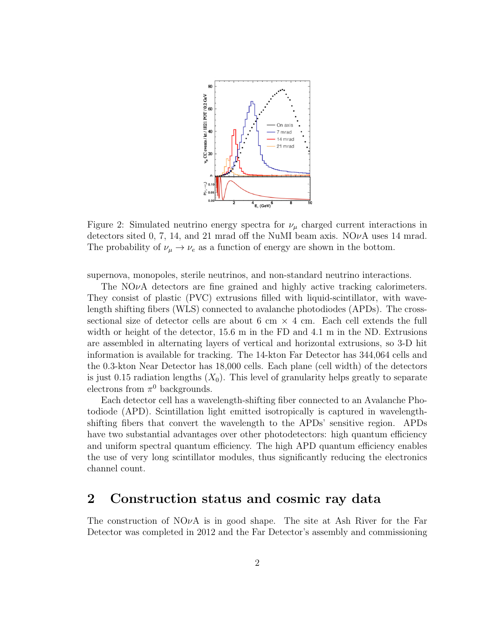

<span id="page-2-0"></span>Figure 2: Simulated neutrino energy spectra for  $\nu_{\mu}$  charged current interactions in detectors sited 0, 7, 14, and 21 mrad off the NuMI beam axis.  $NO\nu A$  uses 14 mrad. The probability of  $\nu_{\mu} \rightarrow \nu_{e}$  as a function of energy are shown in the bottom.

supernova, monopoles, sterile neutrinos, and non-standard neutrino interactions.

The  $N\mathcal{O}\nu A$  detectors are fine grained and highly active tracking calorimeters. They consist of plastic (PVC) extrusions filled with liquid-scintillator, with wavelength shifting fibers (WLS) connected to avalanche photodiodes (APDs). The crosssectional size of detector cells are about 6 cm  $\times$  4 cm. Each cell extends the full width or height of the detector, 15.6 m in the FD and 4.1 m in the ND. Extrusions are assembled in alternating layers of vertical and horizontal extrusions, so 3-D hit information is available for tracking. The 14-kton Far Detector has 344,064 cells and the 0.3-kton Near Detector has 18,000 cells. Each plane (cell width) of the detectors is just 0.15 radiation lengths  $(X_0)$ . This level of granularity helps greatly to separate electrons from  $\pi^0$  backgrounds.

Each detector cell has a wavelength-shifting fiber connected to an Avalanche Photodiode (APD). Scintillation light emitted isotropically is captured in wavelengthshifting fibers that convert the wavelength to the APDs' sensitive region. APDs have two substantial advantages over other photodetectors: high quantum efficiency and uniform spectral quantum efficiency. The high APD quantum efficiency enables the use of very long scintillator modules, thus significantly reducing the electronics channel count.

### 2 Construction status and cosmic ray data

The construction of  $N\mathcal{O}\nu A$  is in good shape. The site at Ash River for the Far Detector was completed in 2012 and the Far Detector's assembly and commissioning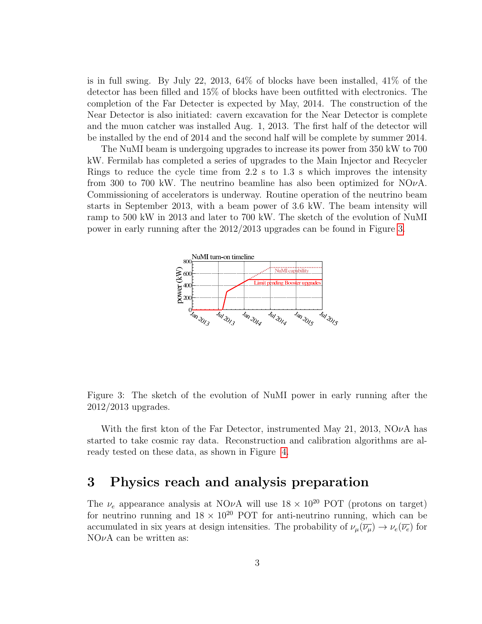is in full swing. By July 22, 2013, 64% of blocks have been installed, 41% of the detector has been filled and 15% of blocks have been outfitted with electronics. The completion of the Far Detecter is expected by May, 2014. The construction of the Near Detector is also initiated: cavern excavation for the Near Detector is complete and the muon catcher was installed Aug. 1, 2013. The first half of the detector will be installed by the end of 2014 and the second half will be complete by summer 2014.

The NuMI beam is undergoing upgrades to increase its power from 350 kW to 700 kW. Fermilab has completed a series of upgrades to the Main Injector and Recycler Rings to reduce the cycle time from 2.2 s to 1.3 s which improves the intensity from 300 to 700 kW. The neutrino beamline has also been optimized for  $N\ddot{o}vA$ . Commissioning of accelerators is underway. Routine operation of the neutrino beam starts in September 2013, with a beam power of 3.6 kW. The beam intensity will ramp to 500 kW in 2013 and later to 700 kW. The sketch of the evolution of NuMI power in early running after the 2012/2013 upgrades can be found in Figure [3.](#page-3-0)



<span id="page-3-0"></span>Figure 3: The sketch of the evolution of NuMI power in early running after the 2012/2013 upgrades.

With the first kton of the Far Detector, instrumented May 21, 2013,  $NQ\nu A$  has started to take cosmic ray data. Reconstruction and calibration algorithms are already tested on these data, as shown in Figure [4.](#page-4-0)

## 3 Physics reach and analysis preparation

The  $\nu_e$  appearance analysis at NO $\nu$ A will use  $18 \times 10^{20}$  POT (protons on target) for neutrino running and  $18 \times 10^{20}$  POT for anti-neutrino running, which can be accumulated in six years at design intensities. The probability of  $\nu_\mu(\overline{\nu_\mu}) \to \nu_e(\overline{\nu_e})$  for  $NO\nu A$  can be written as: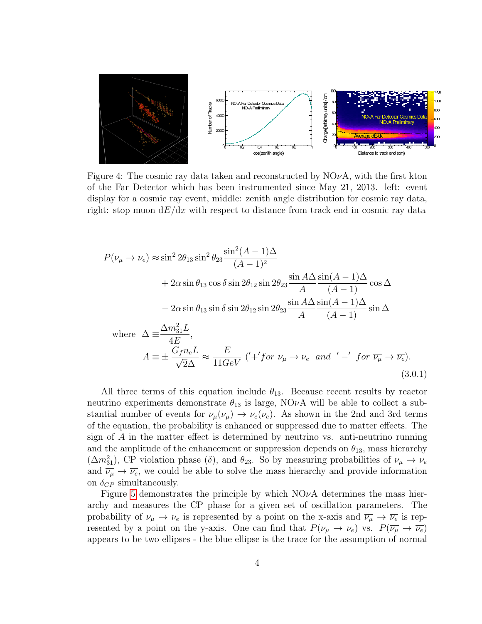

<span id="page-4-0"></span>Figure 4: The cosmic ray data taken and reconstructed by  $N\ddot{O}\nu A$ , with the first kton of the Far Detector which has been instrumented since May 21, 2013. left: event display for a cosmic ray event, middle: zenith angle distribution for cosmic ray data, right: stop muon  $dE/dx$  with respect to distance from track end in cosmic ray data

$$
P(\nu_{\mu} \to \nu_{e}) \approx \sin^{2} 2\theta_{13} \sin^{2} \theta_{23} \frac{\sin^{2} (A - 1) \Delta}{(A - 1)^{2}}
$$
  
+  $2\alpha \sin \theta_{13} \cos \delta \sin 2\theta_{12} \sin 2\theta_{23} \frac{\sin A \Delta \sin(A - 1) \Delta}{A} \cos \Delta$   
-  $2\alpha \sin \theta_{13} \sin \delta \sin 2\theta_{12} \sin 2\theta_{23} \frac{\sin A \Delta \sin(A - 1) \Delta}{A} \sin \Delta$   
where  $\Delta \equiv \frac{\Delta m_{31}^{2} L}{4E}$ ,  
 $A \equiv \pm \frac{G_{f} n_{e} L}{\sqrt{2} \Delta} \approx \frac{E}{11 GeV} (\prime + 'for \nu_{\mu} \to \nu_{e} \text{ and } ' - 'for \overline{\nu_{\mu}} \to \overline{\nu_{e}}).$   
(3.0.1)

All three terms of this equation include  $\theta_{13}$ . Because recent results by reactor neutrino experiments demonstrate  $\theta_{13}$  is large, NO $\nu$ A will be able to collect a substantial number of events for  $\nu_\mu(\overline{\nu_\mu}) \to \nu_e(\overline{\nu_e})$ . As shown in the 2nd and 3rd terms of the equation, the probability is enhanced or suppressed due to matter effects. The sign of  $A$  in the matter effect is determined by neutrino vs. anti-neutrino running and the amplitude of the enhancement or suppression depends on  $\theta_{13}$ , mass hierarchy  $(\Delta m_{31}^2)$ , CP violation phase  $(\delta)$ , and  $\theta_{23}$ . So by measuring probabilities of  $\nu_\mu \to \nu_e$ and  $\overline{\nu_{\mu}} \rightarrow \overline{\nu_{e}}$ , we could be able to solve the mass hierarchy and provide information on  $\delta_{CP}$  simultaneously.

Figure [5](#page-5-0) demonstrates the principle by which  $NO\nu A$  determines the mass hierarchy and measures the CP phase for a given set of oscillation parameters. The probability of  $\nu_\mu \to \nu_e$  is represented by a point on the x-axis and  $\overline{\nu_\mu} \to \overline{\nu_e}$  is represented by a point on the y-axis. One can find that  $P(\nu_\mu \to \nu_e)$  vs.  $P(\overline{\nu_\mu} \to \overline{\nu_e})$ appears to be two ellipses - the blue ellipse is the trace for the assumption of normal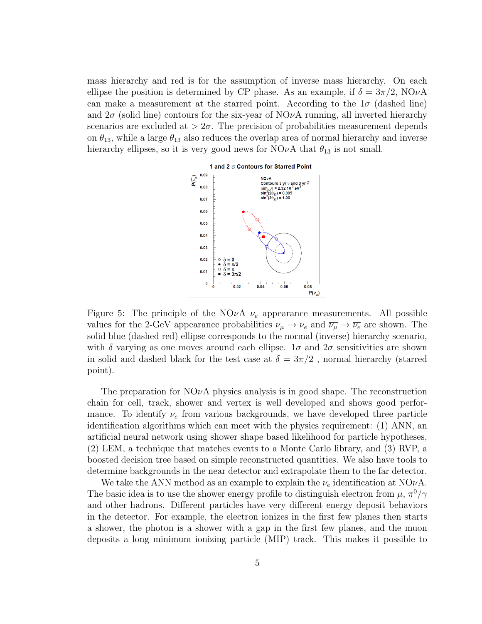mass hierarchy and red is for the assumption of inverse mass hierarchy. On each ellipse the position is determined by CP phase. As an example, if  $\delta = 3\pi/2$ , NOvA can make a measurement at the starred point. According to the  $1\sigma$  (dashed line) and  $2\sigma$  (solid line) contours for the six-year of NO $\nu$ A running, all inverted hierarchy scenarios are excluded at  $> 2\sigma$ . The precision of probabilities measurement depends on  $\theta_{13}$ , while a large  $\theta_{13}$  also reduces the overlap area of normal hierarchy and inverse hierarchy ellipses, so it is very good news for NO $\nu$ A that  $\theta_{13}$  is not small.



<span id="page-5-0"></span>Figure 5: The principle of the NO<sub>v</sub>A  $\nu_e$  appearance measurements. All possible values for the 2-GeV appearance probabilities  $\nu_\mu \to \nu_e$  and  $\overline{\nu_\mu} \to \overline{\nu_e}$  are shown. The solid blue (dashed red) ellipse corresponds to the normal (inverse) hierarchy scenario, with  $\delta$  varying as one moves around each ellipse.  $1\sigma$  and  $2\sigma$  sensitivities are shown in solid and dashed black for the test case at  $\delta = 3\pi/2$ , normal hierarchy (starred point).

The preparation for  $N\ddot{\mathrm{O}}\nu\mathrm{A}$  physics analysis is in good shape. The reconstruction chain for cell, track, shower and vertex is well developed and shows good performance. To identify  $\nu_e$  from various backgrounds, we have developed three particle identification algorithms which can meet with the physics requirement: (1) ANN, an artificial neural network using shower shape based likelihood for particle hypotheses, (2) LEM, a technique that matches events to a Monte Carlo library, and (3) RVP, a boosted decision tree based on simple reconstructed quantities. We also have tools to determine backgrounds in the near detector and extrapolate them to the far detector.

We take the ANN method as an example to explain the  $\nu_e$  identification at NO $\nu$ A. The basic idea is to use the shower energy profile to distinguish electron from  $\mu$ ,  $\pi^0/\gamma$ and other hadrons. Different particles have very different energy deposit behaviors in the detector. For example, the electron ionizes in the first few planes then starts a shower, the photon is a shower with a gap in the first few planes, and the muon deposits a long minimum ionizing particle (MIP) track. This makes it possible to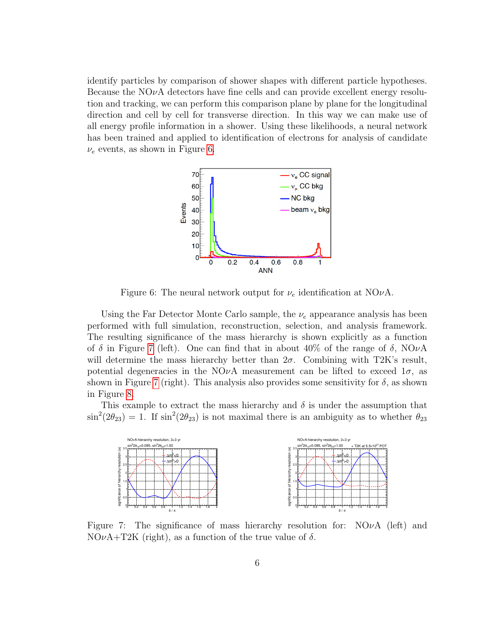identify particles by comparison of shower shapes with different particle hypotheses. Because the  $N\ddot{o}vA$  detectors have fine cells and can provide excellent energy resolution and tracking, we can perform this comparison plane by plane for the longitudinal direction and cell by cell for transverse direction. In this way we can make use of all energy profile information in a shower. Using these likelihoods, a neural network has been trained and applied to identification of electrons for analysis of candidate  $\nu_e$  events, as shown in Figure [6.](#page-6-0)



<span id="page-6-0"></span>Figure 6: The neural network output for  $\nu_e$  identification at NO $\nu$ A.

Using the Far Detector Monte Carlo sample, the  $\nu_e$  appearance analysis has been performed with full simulation, reconstruction, selection, and analysis framework. The resulting significance of the mass hierarchy is shown explicitly as a function of  $\delta$  in Figure [7](#page-6-1) (left). One can find that in about 40% of the range of  $\delta$ , NO $\nu$ A will determine the mass hierarchy better than  $2\sigma$ . Combining with T2K's result, potential degeneracies in the NO<sub>v</sub>A measurement can be lifted to exceed  $1\sigma$ , as shown in Figure [7](#page-6-1) (right). This analysis also provides some sensitivity for  $\delta$ , as shown in Figure [8.](#page-7-0)

This example to extract the mass hierarchy and  $\delta$  is under the assumption that  $\sin^2(2\theta_{23}) = 1$ . If  $\sin^2(2\theta_{23})$  is not maximal there is an ambiguity as to whether  $\theta_{23}$ 



<span id="page-6-1"></span>Figure 7: The significance of mass hierarchy resolution for:  $N\ddot{O}\nu A$  (left) and  $NO\nu A+T2K$  (right), as a function of the true value of  $\delta$ .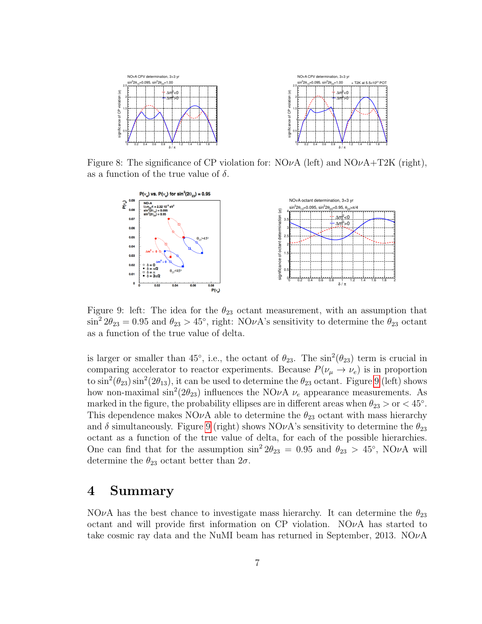

Figure 8: The significance of CP violation for:  $NO\nu A$  (left) and  $NO\nu A+T2K$  (right), as a function of the true value of  $\delta$ .

<span id="page-7-0"></span>

<span id="page-7-1"></span>Figure 9: left: The idea for the  $\theta_{23}$  octant measurement, with an assumption that  $\sin^2 2\theta_{23} = 0.95$  and  $\theta_{23} > 45^\circ$ , right: NOvA's sensitivity to determine the  $\theta_{23}$  octant as a function of the true value of delta.

is larger or smaller than 45<sup>°</sup>, i.e., the octant of  $\theta_{23}$ . The  $\sin^2(\theta_{23})$  term is crucial in comparing accelerator to reactor experiments. Because  $P(\nu_{\mu} \to \nu_{e})$  is in proportion to  $\sin^2(\theta_{23}) \sin^2(2\theta_{13})$ , it can be used to determine the  $\theta_{23}$  octant. Figure [9](#page-7-1) (left) shows how non-maximal  $\sin^2(2\theta_{23})$  influences the NO $\nu$ A  $\nu_e$  appearance measurements. As marked in the figure, the probability ellipses are in different areas when  $\theta_{23} > \text{or} < 45^{\circ}$ . This dependence makes NO $\nu$ A able to determine the  $\theta_{23}$  octant with mass hierarchy and  $\delta$  simultaneously. Figure [9](#page-7-1) (right) shows NO $\nu$ A's sensitivity to determine the  $\theta_{23}$ octant as a function of the true value of delta, for each of the possible hierarchies. One can find that for the assumption  $\sin^2 2\theta_{23} = 0.95$  and  $\theta_{23} > 45^\circ$ , NO $\nu$ A will determine the  $\theta_{23}$  octant better than  $2\sigma$ .

#### 4 Summary

NO $\nu$ A has the best chance to investigate mass hierarchy. It can determine the  $\theta_{23}$ octant and will provide first information on  $\overline{CP}$  violation. NO<sub>V</sub>A has started to take cosmic ray data and the NuMI beam has returned in September, 2013.  $NO\nu A$